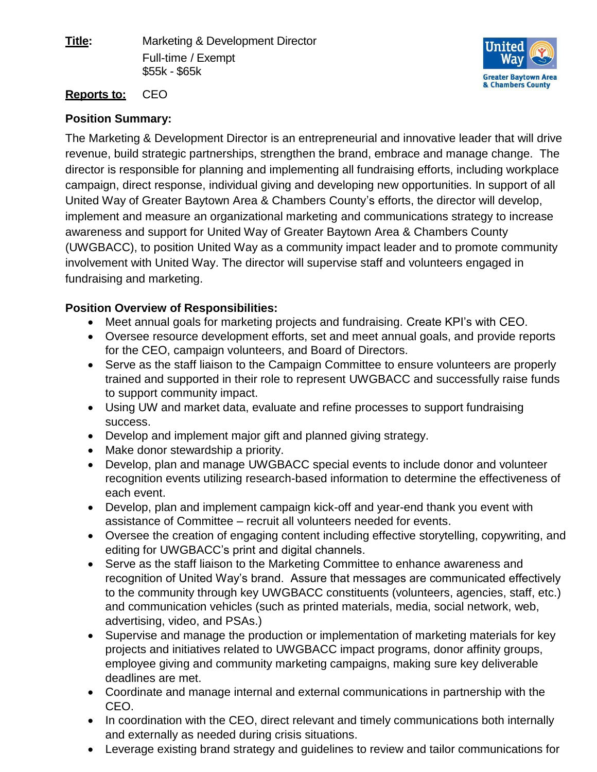**Title:** Marketing & Development Director Full-time / Exempt \$55k - \$65k



## **Reports to:** CEO

## **Position Summary:**

The Marketing & Development Director is an entrepreneurial and innovative leader that will drive revenue, build strategic partnerships, strengthen the brand, embrace and manage change. The director is responsible for planning and implementing all fundraising efforts, including workplace campaign, direct response, individual giving and developing new opportunities. In support of all United Way of Greater Baytown Area & Chambers County's efforts, the director will develop, implement and measure an organizational marketing and communications strategy to increase awareness and support for United Way of Greater Baytown Area & Chambers County (UWGBACC), to position United Way as a community impact leader and to promote community involvement with United Way. The director will supervise staff and volunteers engaged in fundraising and marketing.

## **Position Overview of Responsibilities:**

- Meet annual goals for marketing projects and fundraising. Create KPI's with CEO.
- Oversee resource development efforts, set and meet annual goals, and provide reports for the CEO, campaign volunteers, and Board of Directors.
- Serve as the staff liaison to the Campaign Committee to ensure volunteers are properly trained and supported in their role to represent UWGBACC and successfully raise funds to support community impact.
- Using UW and market data, evaluate and refine processes to support fundraising success.
- Develop and implement major gift and planned giving strategy.
- Make donor stewardship a priority.
- Develop, plan and manage UWGBACC special events to include donor and volunteer recognition events utilizing research-based information to determine the effectiveness of each event.
- Develop, plan and implement campaign kick-off and year-end thank you event with assistance of Committee – recruit all volunteers needed for events.
- Oversee the creation of engaging content including effective storytelling, copywriting, and editing for UWGBACC's print and digital channels.
- Serve as the staff liaison to the Marketing Committee to enhance awareness and recognition of United Way's brand. Assure that messages are communicated effectively to the community through key UWGBACC constituents (volunteers, agencies, staff, etc.) and communication vehicles (such as printed materials, media, social network, web, advertising, video, and PSAs.)
- Supervise and manage the production or implementation of marketing materials for key projects and initiatives related to UWGBACC impact programs, donor affinity groups, employee giving and community marketing campaigns, making sure key deliverable deadlines are met.
- Coordinate and manage internal and external communications in partnership with the CEO.
- In coordination with the CEO, direct relevant and timely communications both internally and externally as needed during crisis situations.
- Leverage existing brand strategy and guidelines to review and tailor communications for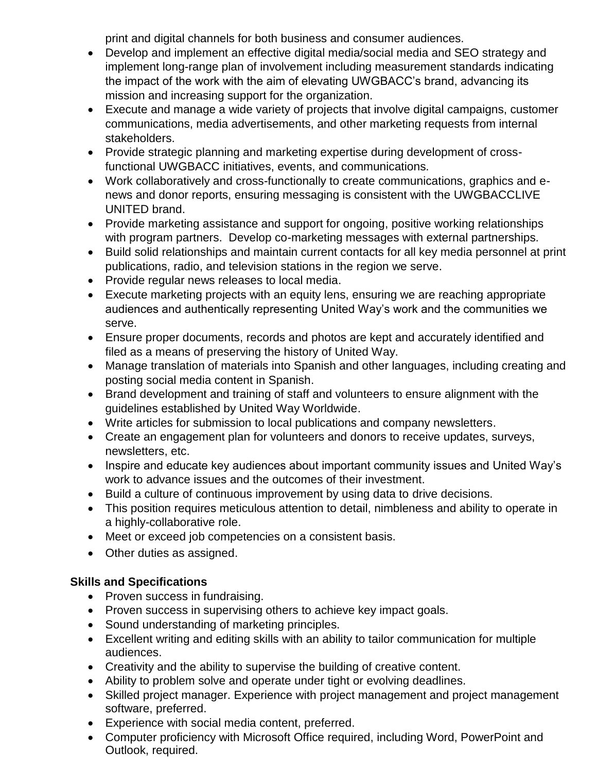print and digital channels for both business and consumer audiences.

- Develop and implement an effective digital media/social media and SEO strategy and implement long-range plan of involvement including measurement standards indicating the impact of the work with the aim of elevating UWGBACC's brand, advancing its mission and increasing support for the organization.
- Execute and manage a wide variety of projects that involve digital campaigns, customer communications, media advertisements, and other marketing requests from internal stakeholders.
- Provide strategic planning and marketing expertise during development of crossfunctional UWGBACC initiatives, events, and communications.
- Work collaboratively and cross-functionally to create communications, graphics and enews and donor reports, ensuring messaging is consistent with the UWGBACCLIVE UNITED brand.
- Provide marketing assistance and support for ongoing, positive working relationships with program partners. Develop co-marketing messages with external partnerships.
- Build solid relationships and maintain current contacts for all key media personnel at print publications, radio, and television stations in the region we serve.
- Provide regular news releases to local media.
- Execute marketing projects with an equity lens, ensuring we are reaching appropriate audiences and authentically representing United Way's work and the communities we serve.
- Ensure proper documents, records and photos are kept and accurately identified and filed as a means of preserving the history of United Way.
- Manage translation of materials into Spanish and other languages, including creating and posting social media content in Spanish.
- Brand development and training of staff and volunteers to ensure alignment with the guidelines established by United Way Worldwide.
- Write articles for submission to local publications and company newsletters.
- Create an engagement plan for volunteers and donors to receive updates, surveys, newsletters, etc.
- Inspire and educate key audiences about important community issues and United Way's work to advance issues and the outcomes of their investment.
- Build a culture of continuous improvement by using data to drive decisions.
- This position requires meticulous attention to detail, nimbleness and ability to operate in a highly-collaborative role.
- Meet or exceed job competencies on a consistent basis.
- Other duties as assigned.

# **Skills and Specifications**

- Proven success in fundraising.
- Proven success in supervising others to achieve key impact goals.
- Sound understanding of marketing principles.
- Excellent writing and editing skills with an ability to tailor communication for multiple audiences.
- Creativity and the ability to supervise the building of creative content.
- Ability to problem solve and operate under tight or evolving deadlines.
- Skilled project manager. Experience with project management and project management software, preferred.
- Experience with social media content, preferred.
- Computer proficiency with Microsoft Office required, including Word, PowerPoint and Outlook, required.